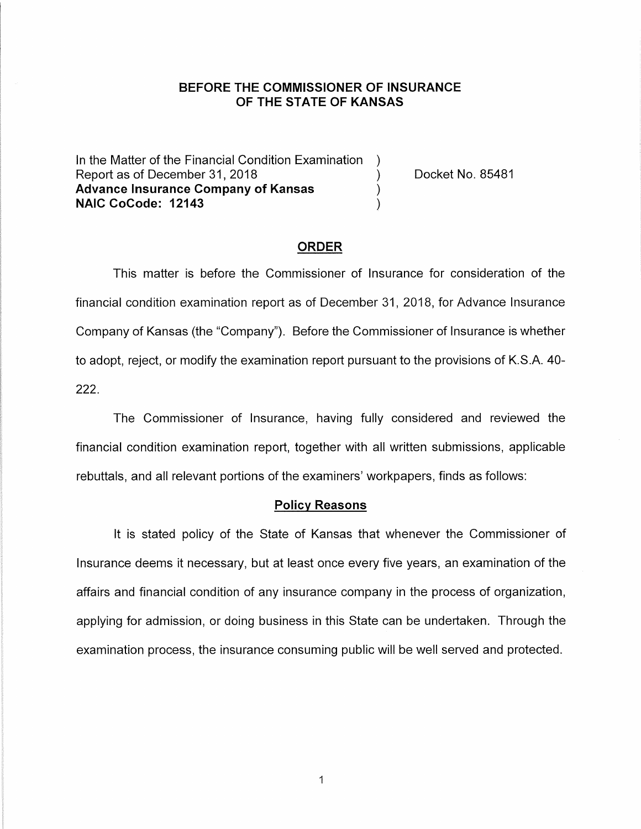# **BEFORE THE COMMISSIONER OF INSURANCE OF THE STATE OF KANSAS**

In the Matter of the Financial Condition Examination ) Report as of December 31, 2018 (a) The Cooket No. 85481 **Advance Insurance Company of Kansas** ) **NAIC CoCode: 12143** )

#### **ORDER**

This matter is before the Commissioner of Insurance for consideration of the financial condition examination report as of December 31, 2018, for Advance Insurance Company of Kansas (the "Company"). Before the Commissioner of Insurance is whether to adopt, reject, or modify the examination report pursuant to the provisions of K.S.A. 40- 222.

The Commissioner of Insurance, having fully considered and reviewed the financial condition examination report, together with all written submissions, applicable rebuttals, and all relevant portions of the examiners' workpapers, finds as follows:

### **Policy Reasons**

It is stated policy of the State of Kansas that whenever the Commissioner of Insurance deems it necessary, but at least once every five years, an examination of the affairs and financial condition of any insurance company in the process of organization, applying for admission, or doing business in this State can be undertaken. Through the examination process, the insurance consuming public will be well served and protected.

 $\mathbf{1}$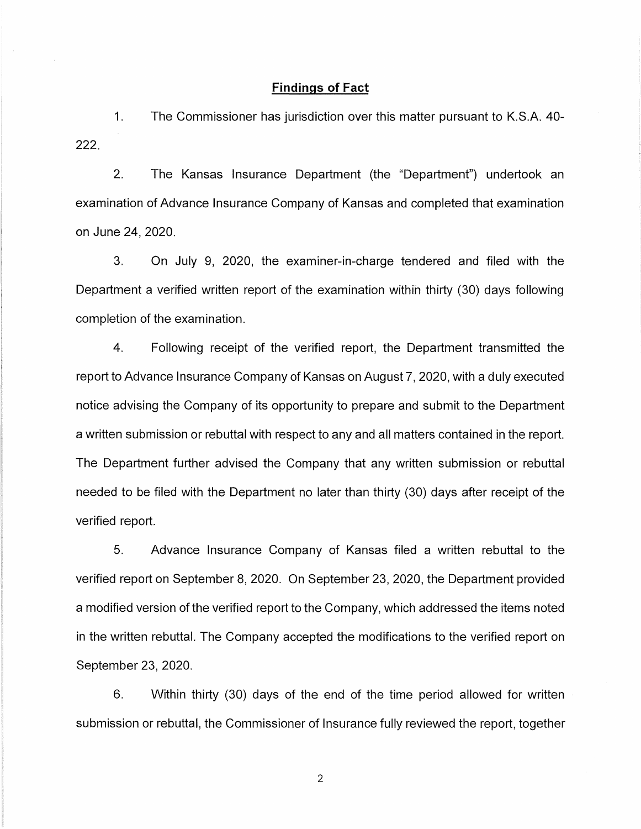### **Findings of Fact**

1. The Commissioner has jurisdiction over this matter pursuant to K.S.A. 40- 222.

2. The Kansas Insurance Department (the "Department") undertook an examination of Advance Insurance Company of Kansas and completed that examination on June 24, 2020.

3. On July 9, 2020, the examiner-in-charge tendered and filed with the Department a verified written report of the examination within thirty (30) days following completion of the examination.

4. Following receipt of the verified report, the Department transmitted the report to Advance Insurance Company of Kansas on August 7, 2020, with a duly executed notice advising the Company of its opportunity to prepare and submit to the Department a written submission or rebuttal with respect to any and all matters contained in the report. The Department further advised the Company that any written submission or rebuttal needed to be filed with the Department no later than thirty (30) days after receipt of the verified report.

5. Advance Insurance Company of Kansas filed a written rebuttal to the verified report on September 8, 2020. On September 23, 2020, the Department provided a modified version of the verified report to the Company, which addressed the items noted in the written rebuttal. The Company accepted the modifications to the verified report on September 23, 2020.

6. Within thirty (30) days of the end of the time period allowed for written submission or rebuttal, the Commissioner of Insurance fully reviewed the report, together

2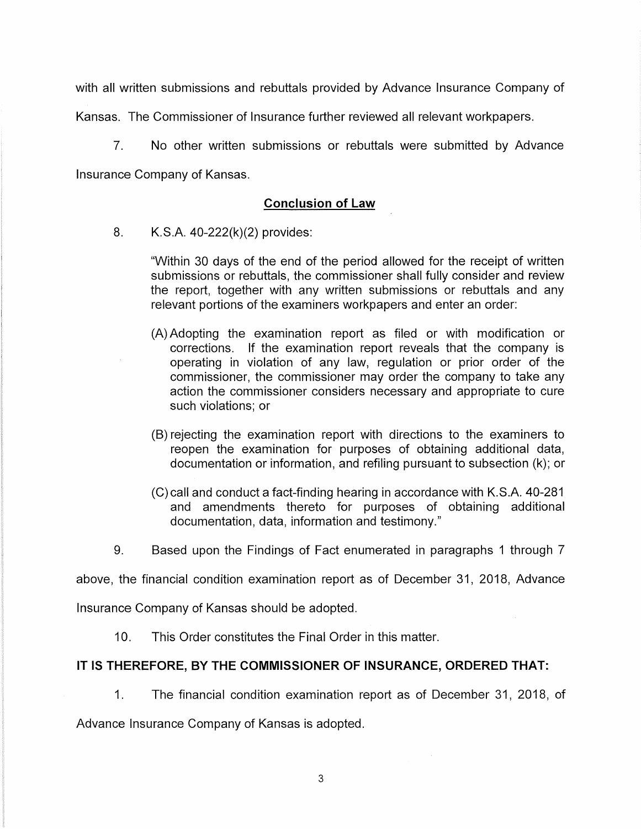with all written submissions and rebuttals provided by Advance Insurance Company of

Kansas. The Commissioner of Insurance further reviewed all relevant workpapers.

7. No other written submissions or rebuttals were submitted by Advance Insurance Company of Kansas.

# **Conclusion of Law**

8. K.S.A. 40-222(k)(2) provides:

"Within 30 days of the end of the period allowed for the receipt of written submissions or rebuttals, the commissioner shall fully consider and review the report, together with any written submissions or rebuttals and any relevant portions of the examiners workpapers and enter an order:

- (A) Adopting the examination report as filed or with modification or corrections. If the examination report reveals that the company is operating in violation of any law, regulation or prior order of the commissioner, the commissioner may order the company to take any action the commissioner considers necessary and appropriate to cure such violations; or
- (8) rejecting the examination report with directions to the examiners to reopen the examination for purposes of obtaining additional data, documentation or information, and refiling pursuant to subsection (k); or
- (C) call and conduct a fact-finding hearing in accordance with K.S.A. 40-281 and amendments thereto for purposes of obtaining additional documentation, data, information and testimony."
- 9. Based upon the Findings of Fact enumerated in paragraphs 1 through 7

above, the financial condition examination report as of December 31, 2018, Advance

Insurance Company of Kansas should be adopted.

10. This Order constitutes the Final Order in this matter.

## **IT IS THEREFORE, BY THE COMMISSIONER OF INSURANCE, ORDERED THAT:**

1. The financial condition examination report as of December 31, 2018, of

Advance Insurance Company of Kansas is adopted.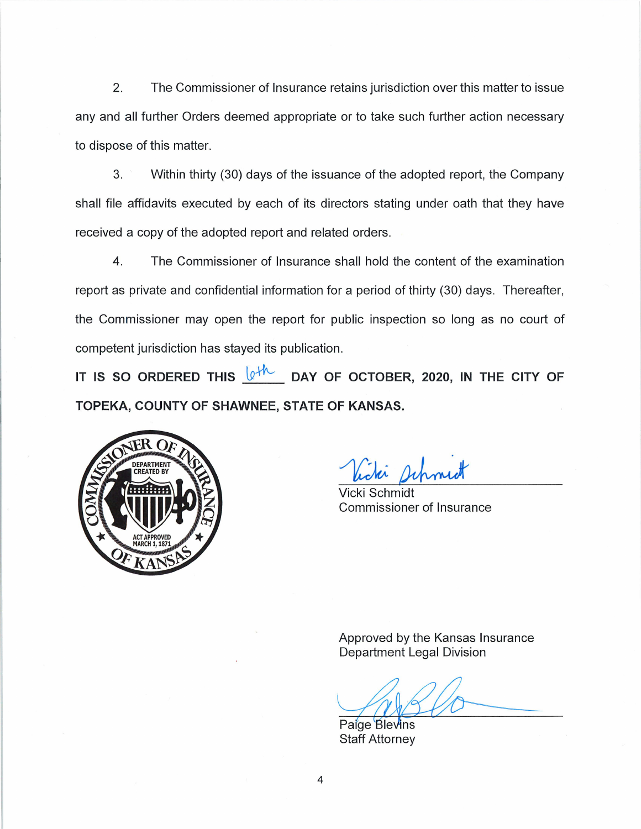2. The Commissioner of Insurance retains jurisdiction over this matter to issue any and all further Orders deemed appropriate or to take such further action necessary to dispose of this matter.

3. Within thirty (30) days of the issuance of the adopted report, the Company shall file affidavits executed by each of its directors stating under oath that they have received a copy of the adopted report and related orders.

4. The Commissioner of Insurance shall hold the content of the examination report as private and confidential information for a period of thirty (30) days. Thereafter, the Commissioner may open the report for public inspection so long as no court of competent jurisdiction has stayed its publication.

IT IS SO ORDERED THIS  $\mathbb{Q}^{\sharp h}$  DAY OF OCTOBER, 2020, IN THE CITY OF **TOPEKA, COUNTY OF SHAWNEE, STATE OF KANSAS.** 



Vicki Schmidt Commissioner of Insurance

Approved by the Kansas Insurance Department Legal Division

Paige Blevins Staff Attorney